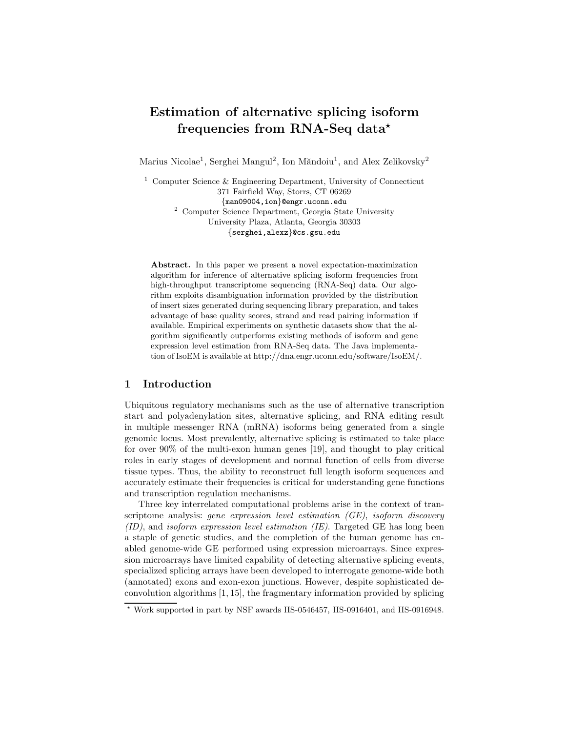# Estimation of alternative splicing isoform frequencies from RNA-Seq data<sup>\*</sup>

Marius Nicolae<sup>1</sup>, Serghei Mangul<sup>2</sup>, Ion Măndoiu<sup>1</sup>, and Alex Zelikovsky<sup>2</sup>

<sup>1</sup> Computer Science & Engineering Department, University of Connecticut 371 Fairfield Way, Storrs, CT 06269 {man09004,ion}@engr.uconn.edu <sup>2</sup> Computer Science Department, Georgia State University University Plaza, Atlanta, Georgia 30303 {serghei,alexz}@cs.gsu.edu

Abstract. In this paper we present a novel expectation-maximization algorithm for inference of alternative splicing isoform frequencies from high-throughput transcriptome sequencing (RNA-Seq) data. Our algorithm exploits disambiguation information provided by the distribution of insert sizes generated during sequencing library preparation, and takes advantage of base quality scores, strand and read pairing information if available. Empirical experiments on synthetic datasets show that the algorithm significantly outperforms existing methods of isoform and gene expression level estimation from RNA-Seq data. The Java implementation of IsoEM is available at http://dna.engr.uconn.edu/software/IsoEM/.

# 1 Introduction

Ubiquitous regulatory mechanisms such as the use of alternative transcription start and polyadenylation sites, alternative splicing, and RNA editing result in multiple messenger RNA (mRNA) isoforms being generated from a single genomic locus. Most prevalently, alternative splicing is estimated to take place for over 90% of the multi-exon human genes [19], and thought to play critical roles in early stages of development and normal function of cells from diverse tissue types. Thus, the ability to reconstruct full length isoform sequences and accurately estimate their frequencies is critical for understanding gene functions and transcription regulation mechanisms.

Three key interrelated computational problems arise in the context of transcriptome analysis: gene expression level estimation (GE), isoform discovery  $(ID)$ , and *isoform expression level estimation*  $(IE)$ . Targeted GE has long been a staple of genetic studies, and the completion of the human genome has enabled genome-wide GE performed using expression microarrays. Since expression microarrays have limited capability of detecting alternative splicing events, specialized splicing arrays have been developed to interrogate genome-wide both (annotated) exons and exon-exon junctions. However, despite sophisticated deconvolution algorithms [1, 15], the fragmentary information provided by splicing

<sup>⋆</sup> Work supported in part by NSF awards IIS-0546457, IIS-0916401, and IIS-0916948.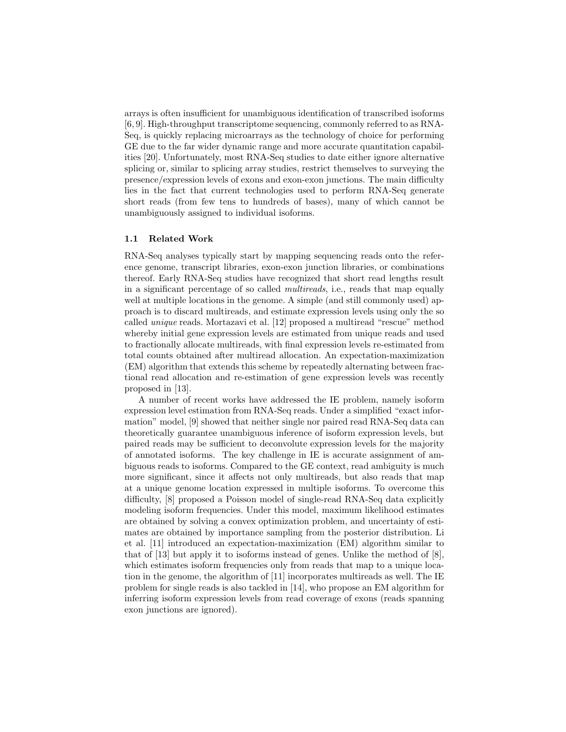arrays is often insufficient for unambiguous identification of transcribed isoforms [6, 9]. High-throughput transcriptome sequencing, commonly referred to as RNA-Seq, is quickly replacing microarrays as the technology of choice for performing GE due to the far wider dynamic range and more accurate quantitation capabilities [20]. Unfortunately, most RNA-Seq studies to date either ignore alternative splicing or, similar to splicing array studies, restrict themselves to surveying the presence/expression levels of exons and exon-exon junctions. The main difficulty lies in the fact that current technologies used to perform RNA-Seq generate short reads (from few tens to hundreds of bases), many of which cannot be unambiguously assigned to individual isoforms.

#### 1.1 Related Work

RNA-Seq analyses typically start by mapping sequencing reads onto the reference genome, transcript libraries, exon-exon junction libraries, or combinations thereof. Early RNA-Seq studies have recognized that short read lengths result in a significant percentage of so called multireads, i.e., reads that map equally well at multiple locations in the genome. A simple (and still commonly used) approach is to discard multireads, and estimate expression levels using only the so called unique reads. Mortazavi et al. [12] proposed a multiread "rescue" method whereby initial gene expression levels are estimated from unique reads and used to fractionally allocate multireads, with final expression levels re-estimated from total counts obtained after multiread allocation. An expectation-maximization (EM) algorithm that extends this scheme by repeatedly alternating between fractional read allocation and re-estimation of gene expression levels was recently proposed in [13].

A number of recent works have addressed the IE problem, namely isoform expression level estimation from RNA-Seq reads. Under a simplified "exact information" model, [9] showed that neither single nor paired read RNA-Seq data can theoretically guarantee unambiguous inference of isoform expression levels, but paired reads may be sufficient to deconvolute expression levels for the majority of annotated isoforms. The key challenge in IE is accurate assignment of ambiguous reads to isoforms. Compared to the GE context, read ambiguity is much more significant, since it affects not only multireads, but also reads that map at a unique genome location expressed in multiple isoforms. To overcome this difficulty, [8] proposed a Poisson model of single-read RNA-Seq data explicitly modeling isoform frequencies. Under this model, maximum likelihood estimates are obtained by solving a convex optimization problem, and uncertainty of estimates are obtained by importance sampling from the posterior distribution. Li et al. [11] introduced an expectation-maximization (EM) algorithm similar to that of [13] but apply it to isoforms instead of genes. Unlike the method of [8], which estimates isoform frequencies only from reads that map to a unique location in the genome, the algorithm of [11] incorporates multireads as well. The IE problem for single reads is also tackled in [14], who propose an EM algorithm for inferring isoform expression levels from read coverage of exons (reads spanning exon junctions are ignored).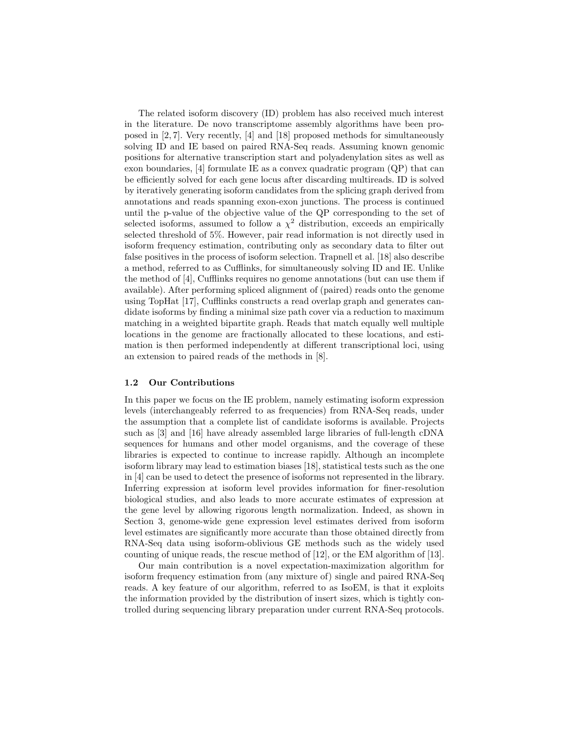The related isoform discovery (ID) problem has also received much interest in the literature. De novo transcriptome assembly algorithms have been proposed in [2, 7]. Very recently, [4] and [18] proposed methods for simultaneously solving ID and IE based on paired RNA-Seq reads. Assuming known genomic positions for alternative transcription start and polyadenylation sites as well as exon boundaries, [4] formulate IE as a convex quadratic program (QP) that can be efficiently solved for each gene locus after discarding multireads. ID is solved by iteratively generating isoform candidates from the splicing graph derived from annotations and reads spanning exon-exon junctions. The process is continued until the p-value of the objective value of the QP corresponding to the set of selected isoforms, assumed to follow a  $\chi^2$  distribution, exceeds an empirically selected threshold of 5%. However, pair read information is not directly used in isoform frequency estimation, contributing only as secondary data to filter out false positives in the process of isoform selection. Trapnell et al. [18] also describe a method, referred to as Cufflinks, for simultaneously solving ID and IE. Unlike the method of [4], Cufflinks requires no genome annotations (but can use them if available). After performing spliced alignment of (paired) reads onto the genome using TopHat [17], Cufflinks constructs a read overlap graph and generates candidate isoforms by finding a minimal size path cover via a reduction to maximum matching in a weighted bipartite graph. Reads that match equally well multiple locations in the genome are fractionally allocated to these locations, and estimation is then performed independently at different transcriptional loci, using an extension to paired reads of the methods in [8].

#### 1.2 Our Contributions

In this paper we focus on the IE problem, namely estimating isoform expression levels (interchangeably referred to as frequencies) from RNA-Seq reads, under the assumption that a complete list of candidate isoforms is available. Projects such as [3] and [16] have already assembled large libraries of full-length cDNA sequences for humans and other model organisms, and the coverage of these libraries is expected to continue to increase rapidly. Although an incomplete isoform library may lead to estimation biases [18], statistical tests such as the one in [4] can be used to detect the presence of isoforms not represented in the library. Inferring expression at isoform level provides information for finer-resolution biological studies, and also leads to more accurate estimates of expression at the gene level by allowing rigorous length normalization. Indeed, as shown in Section 3, genome-wide gene expression level estimates derived from isoform level estimates are significantly more accurate than those obtained directly from RNA-Seq data using isoform-oblivious GE methods such as the widely used counting of unique reads, the rescue method of [12], or the EM algorithm of [13].

Our main contribution is a novel expectation-maximization algorithm for isoform frequency estimation from (any mixture of) single and paired RNA-Seq reads. A key feature of our algorithm, referred to as IsoEM, is that it exploits the information provided by the distribution of insert sizes, which is tightly controlled during sequencing library preparation under current RNA-Seq protocols.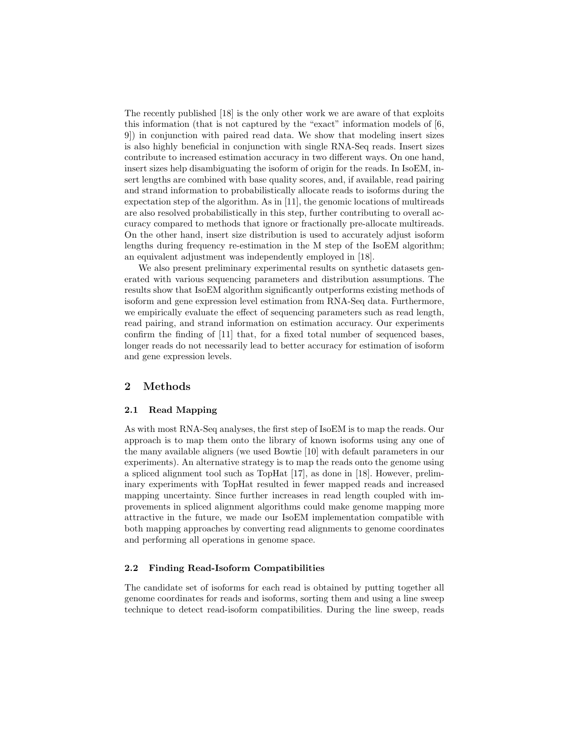The recently published [18] is the only other work we are aware of that exploits this information (that is not captured by the "exact" information models of [6, 9]) in conjunction with paired read data. We show that modeling insert sizes is also highly beneficial in conjunction with single RNA-Seq reads. Insert sizes contribute to increased estimation accuracy in two different ways. On one hand, insert sizes help disambiguating the isoform of origin for the reads. In IsoEM, insert lengths are combined with base quality scores, and, if available, read pairing and strand information to probabilistically allocate reads to isoforms during the expectation step of the algorithm. As in [11], the genomic locations of multireads are also resolved probabilistically in this step, further contributing to overall accuracy compared to methods that ignore or fractionally pre-allocate multireads. On the other hand, insert size distribution is used to accurately adjust isoform lengths during frequency re-estimation in the M step of the IsoEM algorithm; an equivalent adjustment was independently employed in [18].

We also present preliminary experimental results on synthetic datasets generated with various sequencing parameters and distribution assumptions. The results show that IsoEM algorithm significantly outperforms existing methods of isoform and gene expression level estimation from RNA-Seq data. Furthermore, we empirically evaluate the effect of sequencing parameters such as read length, read pairing, and strand information on estimation accuracy. Our experiments confirm the finding of [11] that, for a fixed total number of sequenced bases, longer reads do not necessarily lead to better accuracy for estimation of isoform and gene expression levels.

# 2 Methods

## 2.1 Read Mapping

As with most RNA-Seq analyses, the first step of IsoEM is to map the reads. Our approach is to map them onto the library of known isoforms using any one of the many available aligners (we used Bowtie [10] with default parameters in our experiments). An alternative strategy is to map the reads onto the genome using a spliced alignment tool such as TopHat [17], as done in [18]. However, preliminary experiments with TopHat resulted in fewer mapped reads and increased mapping uncertainty. Since further increases in read length coupled with improvements in spliced alignment algorithms could make genome mapping more attractive in the future, we made our IsoEM implementation compatible with both mapping approaches by converting read alignments to genome coordinates and performing all operations in genome space.

## 2.2 Finding Read-Isoform Compatibilities

The candidate set of isoforms for each read is obtained by putting together all genome coordinates for reads and isoforms, sorting them and using a line sweep technique to detect read-isoform compatibilities. During the line sweep, reads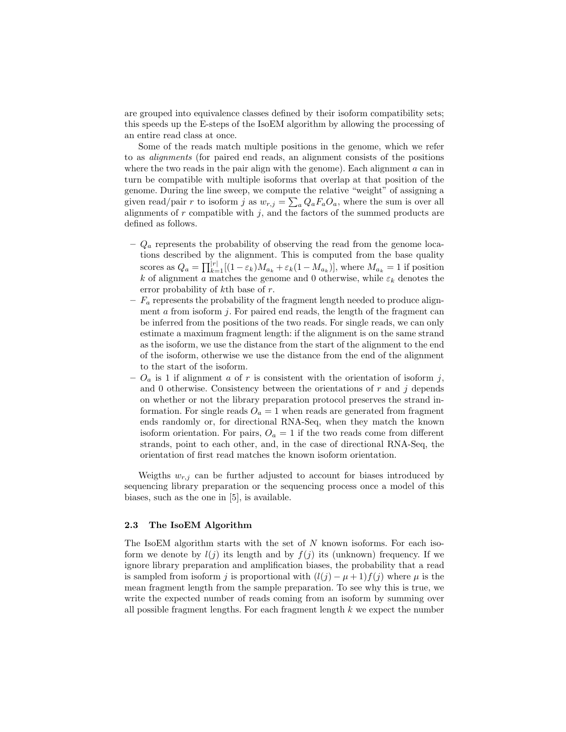are grouped into equivalence classes defined by their isoform compatibility sets; this speeds up the E-steps of the IsoEM algorithm by allowing the processing of an entire read class at once.

Some of the reads match multiple positions in the genome, which we refer to as alignments (for paired end reads, an alignment consists of the positions where the two reads in the pair align with the genome). Each alignment  $a$  can in turn be compatible with multiple isoforms that overlap at that position of the genome. During the line sweep, we compute the relative "weight" of assigning a given read/pair r to isoform j as  $w_{r,j} = \sum_a Q_a F_a O_a$ , where the sum is over all alignments of  $r$  compatible with  $j$ , and the factors of the summed products are defined as follows.

- $-Q_a$  represents the probability of observing the read from the genome locations described by the alignment. This is computed from the base quality scores as  $Q_a = \prod_{k=1}^{|r|} [(1 - \varepsilon_k) M_{a_k} + \varepsilon_k (1 - M_{a_k})]$ , where  $M_{a_k} = 1$  if position k of alignment a matches the genome and 0 otherwise, while  $\varepsilon_k$  denotes the error probability of kth base of r.
- $F_a$  represents the probability of the fragment length needed to produce alignment  $\alpha$  from isoform  $\dot{\gamma}$ . For paired end reads, the length of the fragment can be inferred from the positions of the two reads. For single reads, we can only estimate a maximum fragment length: if the alignment is on the same strand as the isoform, we use the distance from the start of the alignment to the end of the isoform, otherwise we use the distance from the end of the alignment to the start of the isoform.
- $O_a$  is 1 if alignment a of r is consistent with the orientation of isoform j, and 0 otherwise. Consistency between the orientations of  $r$  and  $j$  depends on whether or not the library preparation protocol preserves the strand information. For single reads  $O_a = 1$  when reads are generated from fragment ends randomly or, for directional RNA-Seq, when they match the known isoform orientation. For pairs,  $O_a = 1$  if the two reads come from different strands, point to each other, and, in the case of directional RNA-Seq, the orientation of first read matches the known isoform orientation.

Weigths  $w_{r,j}$  can be further adjusted to account for biases introduced by sequencing library preparation or the sequencing process once a model of this biases, such as the one in [5], is available.

#### 2.3 The IsoEM Algorithm

The IsoEM algorithm starts with the set of  $N$  known isoforms. For each isoform we denote by  $l(j)$  its length and by  $f(j)$  its (unknown) frequency. If we ignore library preparation and amplification biases, the probability that a read is sampled from isoform j is proportional with  $(l(j) - \mu + 1)f(j)$  where  $\mu$  is the mean fragment length from the sample preparation. To see why this is true, we write the expected number of reads coming from an isoform by summing over all possible fragment lengths. For each fragment length k we expect the number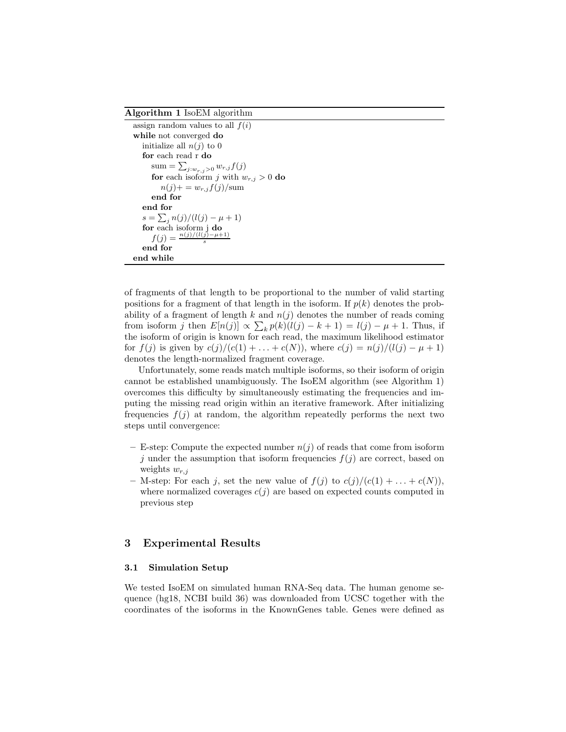Algorithm 1 IsoEM algorithm

```
assign random values to all f(i)while not converged do
   initialize all n(j) to 0
   for each read r do
      sum = \sum_{j:w_{r,j}>0} w_{r,j} f(j)for each isoform j with w_{r,j} > 0 do
         n(j) + = w_{r,j} f(j)/sum
      end for
   end for
   s = \sum_j n(j)/(l(j) - \mu + 1)for each isoform j do<br>f(j) = \frac{n(j)/(l(j)-\mu+1)}{s}end for
end while
```
of fragments of that length to be proportional to the number of valid starting positions for a fragment of that length in the isoform. If  $p(k)$  denotes the probability of a fragment of length k and  $n(j)$  denotes the number of reads coming from isoform j then  $E[n(j)] \propto \sum_k p(k)(l(j) - k + 1) = l(j) - \mu + 1$ . Thus, if the isoform of origin is known for each read, the maximum likelihood estimator for  $f(j)$  is given by  $c(j)/(c(1) + ... + c(N))$ , where  $c(j) = n(j)/(l(j) - \mu + 1)$ denotes the length-normalized fragment coverage.

Unfortunately, some reads match multiple isoforms, so their isoform of origin cannot be established unambiguously. The IsoEM algorithm (see Algorithm 1) overcomes this difficulty by simultaneously estimating the frequencies and imputing the missing read origin within an iterative framework. After initializing frequencies  $f(i)$  at random, the algorithm repeatedly performs the next two steps until convergence:

- E-step: Compute the expected number  $n(j)$  of reads that come from isoform j under the assumption that isoform frequencies  $f(j)$  are correct, based on weights  $w_{r,j}$
- M-step: For each j, set the new value of  $f(j)$  to  $c(j)/(c(1) + ... + c(N)),$ where normalized coverages  $c(j)$  are based on expected counts computed in previous step

# 3 Experimental Results

#### 3.1 Simulation Setup

We tested IsoEM on simulated human RNA-Seq data. The human genome sequence (hg18, NCBI build 36) was downloaded from UCSC together with the coordinates of the isoforms in the KnownGenes table. Genes were defined as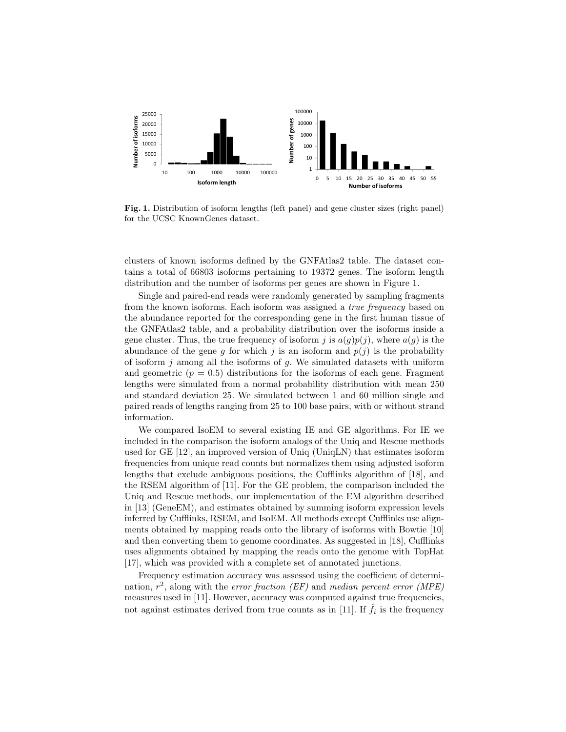

Fig. 1. Distribution of isoform lengths (left panel) and gene cluster sizes (right panel) for the UCSC KnownGenes dataset.

clusters of known isoforms defined by the GNFAtlas2 table. The dataset contains a total of 66803 isoforms pertaining to 19372 genes. The isoform length distribution and the number of isoforms per genes are shown in Figure 1.

Single and paired-end reads were randomly generated by sampling fragments from the known isoforms. Each isoform was assigned a true frequency based on the abundance reported for the corresponding gene in the first human tissue of the GNFAtlas2 table, and a probability distribution over the isoforms inside a gene cluster. Thus, the true frequency of isoform j is  $a(g)p(j)$ , where  $a(g)$  is the abundance of the gene g for which j is an isoform and  $p(j)$  is the probability of isoform  $j$  among all the isoforms of  $q$ . We simulated datasets with uniform and geometric  $(p = 0.5)$  distributions for the isoforms of each gene. Fragment lengths were simulated from a normal probability distribution with mean 250 and standard deviation 25. We simulated between 1 and 60 million single and paired reads of lengths ranging from 25 to 100 base pairs, with or without strand information.

We compared IsoEM to several existing IE and GE algorithms. For IE we included in the comparison the isoform analogs of the Uniq and Rescue methods used for GE [12], an improved version of Uniq (UniqLN) that estimates isoform frequencies from unique read counts but normalizes them using adjusted isoform lengths that exclude ambiguous positions, the Cufflinks algorithm of [18], and the RSEM algorithm of [11]. For the GE problem, the comparison included the Uniq and Rescue methods, our implementation of the EM algorithm described in [13] (GeneEM), and estimates obtained by summing isoform expression levels inferred by Cufflinks, RSEM, and IsoEM. All methods except Cufflinks use alignments obtained by mapping reads onto the library of isoforms with Bowtie [10] and then converting them to genome coordinates. As suggested in [18], Cufflinks uses alignments obtained by mapping the reads onto the genome with TopHat [17], which was provided with a complete set of annotated junctions.

Frequency estimation accuracy was assessed using the coefficient of determination,  $r^2$ , along with the *error fraction (EF)* and *median percent error (MPE)* measures used in [11]. However, accuracy was computed against true frequencies, not against estimates derived from true counts as in [11]. If  $\hat{f}_i$  is the frequency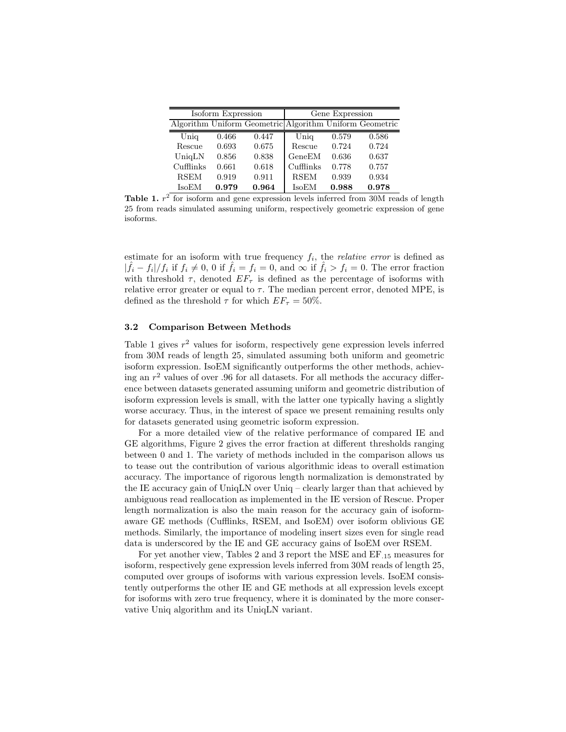|              | Isoform Expression |                                                         | Gene Expression |       |       |  |
|--------------|--------------------|---------------------------------------------------------|-----------------|-------|-------|--|
|              |                    | Algorithm Uniform Geometric Algorithm Uniform Geometric |                 |       |       |  |
| Uniq         | 0.466              | 0.447                                                   | Uniq            | 0.579 | 0.586 |  |
| Rescue       | 0.693              | 0.675                                                   | Rescue          | 0.724 | 0.724 |  |
| UniqLN       | 0.856              | 0.838                                                   | GeneEM          | 0.636 | 0.637 |  |
| Cufflinks    | 0.661              | 0.618                                                   | Cufflinks       | 0.778 | 0.757 |  |
| <b>RSEM</b>  | 0.919              | 0.911                                                   | <b>RSEM</b>     | 0.939 | 0.934 |  |
| <b>IsoEM</b> | 0.979              | 0.964                                                   | <b>IsoEM</b>    | 0.988 | 0.978 |  |

Table 1.  $r^2$  for isoform and gene expression levels inferred from 30M reads of length 25 from reads simulated assuming uniform, respectively geometric expression of gene isoforms.

estimate for an isoform with true frequency  $f_i$ , the *relative error* is defined as  $|\hat{f}_i - f_i|/f_i$  if  $f_i \neq 0$ , 0 if  $\hat{f}_i = f_i = 0$ , and  $\infty$  if  $\hat{f}_i > f_i = 0$ . The error fraction with threshold  $\tau$ , denoted  $EF_{\tau}$  is defined as the percentage of isoforms with relative error greater or equal to  $\tau$ . The median percent error, denoted MPE, is defined as the threshold  $\tau$  for which  $EF_{\tau} = 50\%$ .

## 3.2 Comparison Between Methods

Table 1 gives  $r^2$  values for isoform, respectively gene expression levels inferred from 30M reads of length 25, simulated assuming both uniform and geometric isoform expression. IsoEM significantly outperforms the other methods, achieving an r <sup>2</sup> values of over .96 for all datasets. For all methods the accuracy difference between datasets generated assuming uniform and geometric distribution of isoform expression levels is small, with the latter one typically having a slightly worse accuracy. Thus, in the interest of space we present remaining results only for datasets generated using geometric isoform expression.

For a more detailed view of the relative performance of compared IE and GE algorithms, Figure 2 gives the error fraction at different thresholds ranging between 0 and 1. The variety of methods included in the comparison allows us to tease out the contribution of various algorithmic ideas to overall estimation accuracy. The importance of rigorous length normalization is demonstrated by the IE accuracy gain of UniqLN over Uniq – clearly larger than that achieved by ambiguous read reallocation as implemented in the IE version of Rescue. Proper length normalization is also the main reason for the accuracy gain of isoformaware GE methods (Cufflinks, RSEM, and IsoEM) over isoform oblivious GE methods. Similarly, the importance of modeling insert sizes even for single read data is underscored by the IE and GE accuracy gains of IsoEM over RSEM.

For yet another view, Tables 2 and 3 report the MSE and EF.<sup>15</sup> measures for isoform, respectively gene expression levels inferred from 30M reads of length 25, computed over groups of isoforms with various expression levels. IsoEM consistently outperforms the other IE and GE methods at all expression levels except for isoforms with zero true frequency, where it is dominated by the more conservative Uniq algorithm and its UniqLN variant.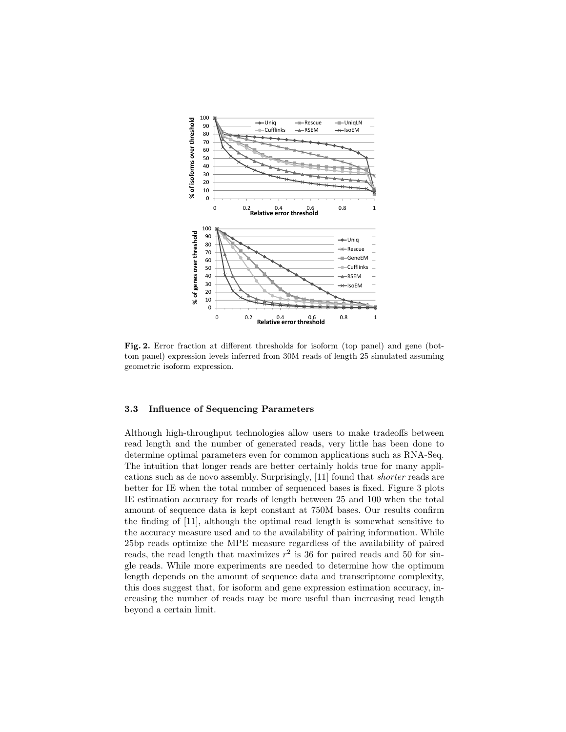

Fig. 2. Error fraction at different thresholds for isoform (top panel) and gene (bottom panel) expression levels inferred from 30M reads of length 25 simulated assuming geometric isoform expression.

#### 3.3 Influence of Sequencing Parameters

Although high-throughput technologies allow users to make tradeoffs between read length and the number of generated reads, very little has been done to determine optimal parameters even for common applications such as RNA-Seq. The intuition that longer reads are better certainly holds true for many applications such as de novo assembly. Surprisingly, [11] found that shorter reads are better for IE when the total number of sequenced bases is fixed. Figure 3 plots IE estimation accuracy for reads of length between 25 and 100 when the total amount of sequence data is kept constant at 750M bases. Our results confirm the finding of [11], although the optimal read length is somewhat sensitive to the accuracy measure used and to the availability of pairing information. While 25bp reads optimize the MPE measure regardless of the availability of paired reads, the read length that maximizes  $r^2$  is 36 for paired reads and 50 for single reads. While more experiments are needed to determine how the optimum length depends on the amount of sequence data and transcriptome complexity, this does suggest that, for isoform and gene expression estimation accuracy, increasing the number of reads may be more useful than increasing read length beyond a certain limit.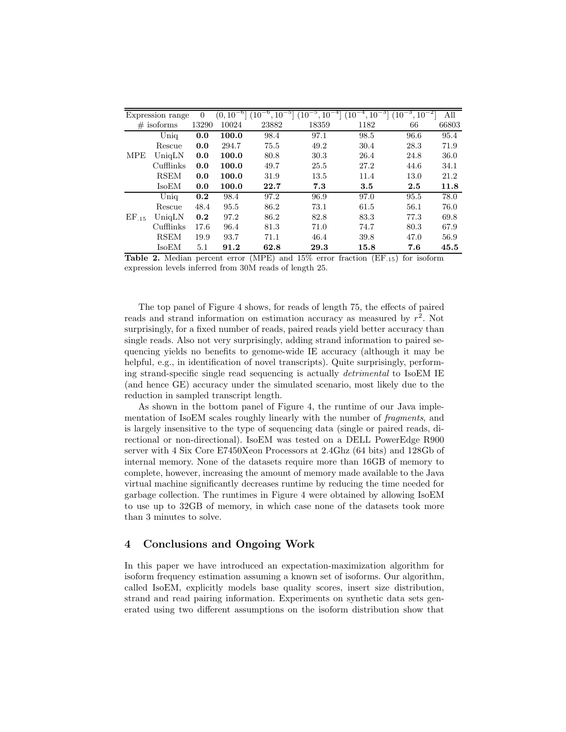|            | Expression range | $\Omega$ | $(0, 10^{-6}]$ | $(10^{-6})$<br>$, 10^{-5}$ ] | $(10^{-5}, 10^{-4}]$ | $(10^{-4})$<br>$^4, 10^{-3}$ | $10^{-3}$<br>$, 10^{-2}$ | All   |
|------------|------------------|----------|----------------|------------------------------|----------------------|------------------------------|--------------------------|-------|
|            | $\#$ isoforms    | 13290    | 10024          | 23882                        | 18359                | 1182                         | 66                       | 66803 |
| <b>MPE</b> | Uniq             | 0.0      | 100.0          | 98.4                         | 97.1                 | 98.5                         | 96.6                     | 95.4  |
|            | Rescue           | 0.0      | 294.7          | 75.5                         | 49.2                 | 30.4                         | 28.3                     | 71.9  |
|            | UniqLN           | 0.0      | 100.0          | 80.8                         | 30.3                 | 26.4                         | 24.8                     | 36.0  |
|            | Cufflinks        | 0.0      | 100.0          | 49.7                         | 25.5                 | 27.2                         | 44.6                     | 34.1  |
|            | <b>RSEM</b>      | 0.0      | 100.0          | 31.9                         | 13.5                 | 11.4                         | 13.0                     | 21.2  |
|            | <b>IsoEM</b>     | 0.0      | 100.0          | 22.7                         | 7.3                  | 3.5                          | 2.5                      | 11.8  |
| $EF_{.15}$ | Uniq             | 0.2      | 98.4           | 97.2                         | 96.9                 | 97.0                         | 95.5                     | 78.0  |
|            | Rescue           | 48.4     | 95.5           | 86.2                         | 73.1                 | 61.5                         | 56.1                     | 76.0  |
|            | UniqLN           | 0.2      | 97.2           | 86.2                         | 82.8                 | 83.3                         | 77.3                     | 69.8  |
|            | Cufflinks        | 17.6     | 96.4           | 81.3                         | 71.0                 | 74.7                         | 80.3                     | 67.9  |
|            | <b>RSEM</b>      | 19.9     | 93.7           | 71.1                         | 46.4                 | 39.8                         | 47.0                     | 56.9  |
|            | IsoEM            | 5.1      | 91.2           | 62.8                         | 29.3                 | 15.8                         | 7.6                      | 45.5  |

**Table 2.** Median percent error (MPE) and  $15\%$  error fraction (EF<sub>.15</sub>) for isoform expression levels inferred from 30M reads of length 25.

The top panel of Figure 4 shows, for reads of length 75, the effects of paired reads and strand information on estimation accuracy as measured by  $r^2$ . Not surprisingly, for a fixed number of reads, paired reads yield better accuracy than single reads. Also not very surprisingly, adding strand information to paired sequencing yields no benefits to genome-wide IE accuracy (although it may be helpful, e.g., in identification of novel transcripts). Quite surprisingly, performing strand-specific single read sequencing is actually detrimental to IsoEM IE (and hence GE) accuracy under the simulated scenario, most likely due to the reduction in sampled transcript length.

As shown in the bottom panel of Figure 4, the runtime of our Java implementation of IsoEM scales roughly linearly with the number of fragments, and is largely insensitive to the type of sequencing data (single or paired reads, directional or non-directional). IsoEM was tested on a DELL PowerEdge R900 server with 4 Six Core E7450Xeon Processors at 2.4Ghz (64 bits) and 128Gb of internal memory. None of the datasets require more than 16GB of memory to complete, however, increasing the amount of memory made available to the Java virtual machine significantly decreases runtime by reducing the time needed for garbage collection. The runtimes in Figure 4 were obtained by allowing IsoEM to use up to 32GB of memory, in which case none of the datasets took more than 3 minutes to solve.

# 4 Conclusions and Ongoing Work

In this paper we have introduced an expectation-maximization algorithm for isoform frequency estimation assuming a known set of isoforms. Our algorithm, called IsoEM, explicitly models base quality scores, insert size distribution, strand and read pairing information. Experiments on synthetic data sets generated using two different assumptions on the isoform distribution show that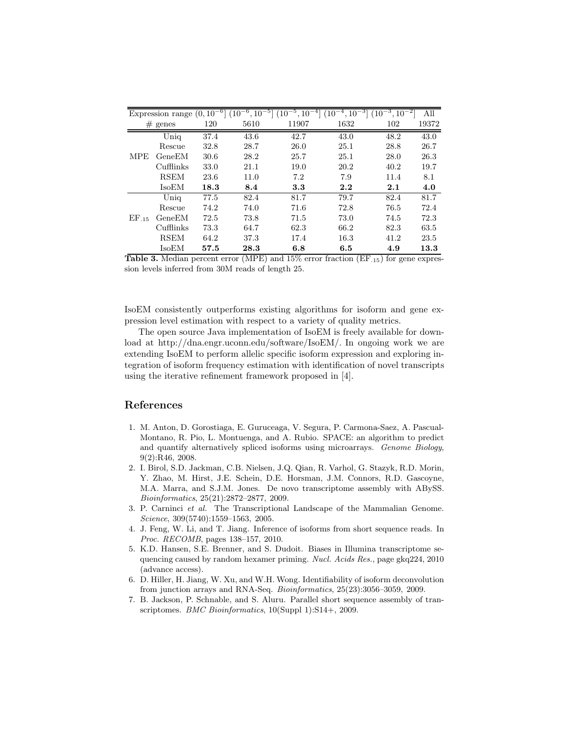|            | Expression range $(0, 10^{-6}]$ |      | $(10^{-6})$ .<br>$\sqrt{10^{-5}}$ | $-2$<br>, 10<br>(10) | .10<br>(10) | -3<br>.10<br>(10) | All   |
|------------|---------------------------------|------|-----------------------------------|----------------------|-------------|-------------------|-------|
|            | $#$ genes                       | 120  | 5610                              | 11907                | 1632        | 102               | 19372 |
| <b>MPE</b> | Uniq                            | 37.4 | 43.6                              | 42.7                 | 43.0        | 48.2              | 43.0  |
|            | Rescue                          | 32.8 | 28.7                              | 26.0                 | 25.1        | 28.8              | 26.7  |
|            | GeneEM                          | 30.6 | 28.2                              | 25.7                 | 25.1        | 28.0              | 26.3  |
|            | Cufflinks                       | 33.0 | 21.1                              | 19.0                 | 20.2        | 40.2              | 19.7  |
|            | <b>RSEM</b>                     | 23.6 | 11.0                              | 7.2                  | 7.9         | 11.4              | 8.1   |
|            | <b>IsoEM</b>                    | 18.3 | 8.4                               | 3.3                  | 2.2         | 2.1               | 4.0   |
| $EF_{.15}$ | Uniq                            | 77.5 | 82.4                              | 81.7                 | 79.7        | 82.4              | 81.7  |
|            | Rescue                          | 74.2 | 74.0                              | 71.6                 | 72.8        | 76.5              | 72.4  |
|            | GeneEM                          | 72.5 | 73.8                              | 71.5                 | 73.0        | 74.5              | 72.3  |
|            | Cufflinks                       | 73.3 | 64.7                              | 62.3                 | 66.2        | 82.3              | 63.5  |
|            | <b>RSEM</b>                     | 64.2 | 37.3                              | 17.4                 | 16.3        | 41.2              | 23.5  |
|            | IsoEM                           | 57.5 | 28.3                              | 6.8                  | 6.5         | 4.9               | 13.3  |

Table 3. Median percent error (MPE) and 15% error fraction (EF.15) for gene expression levels inferred from 30M reads of length 25.

IsoEM consistently outperforms existing algorithms for isoform and gene expression level estimation with respect to a variety of quality metrics.

The open source Java implementation of IsoEM is freely available for download at http://dna.engr.uconn.edu/software/IsoEM/. In ongoing work we are extending IsoEM to perform allelic specific isoform expression and exploring integration of isoform frequency estimation with identification of novel transcripts using the iterative refinement framework proposed in [4].

# References

- 1. M. Anton, D. Gorostiaga, E. Guruceaga, V. Segura, P. Carmona-Saez, A. Pascual-Montano, R. Pio, L. Montuenga, and A. Rubio. SPACE: an algorithm to predict and quantify alternatively spliced isoforms using microarrays. Genome Biology, 9(2):R46, 2008.
- 2. I. Birol, S.D. Jackman, C.B. Nielsen, J.Q. Qian, R. Varhol, G. Stazyk, R.D. Morin, Y. Zhao, M. Hirst, J.E. Schein, D.E. Horsman, J.M. Connors, R.D. Gascoyne, M.A. Marra, and S.J.M. Jones. De novo transcriptome assembly with ABySS. Bioinformatics, 25(21):2872–2877, 2009.
- 3. P. Carninci et al. The Transcriptional Landscape of the Mammalian Genome. Science, 309(5740):1559–1563, 2005.
- 4. J. Feng, W. Li, and T. Jiang. Inference of isoforms from short sequence reads. In Proc. RECOMB, pages 138–157, 2010.
- 5. K.D. Hansen, S.E. Brenner, and S. Dudoit. Biases in Illumina transcriptome sequencing caused by random hexamer priming. Nucl. Acids Res., page gkq224, 2010 (advance access).
- 6. D. Hiller, H. Jiang, W. Xu, and W.H. Wong. Identifiability of isoform deconvolution from junction arrays and RNA-Seq. Bioinformatics, 25(23):3056–3059, 2009.
- 7. B. Jackson, P. Schnable, and S. Aluru. Parallel short sequence assembly of transcriptomes. *BMC Bioinformatics*,  $10(Suppl 1):S14+$ , 2009.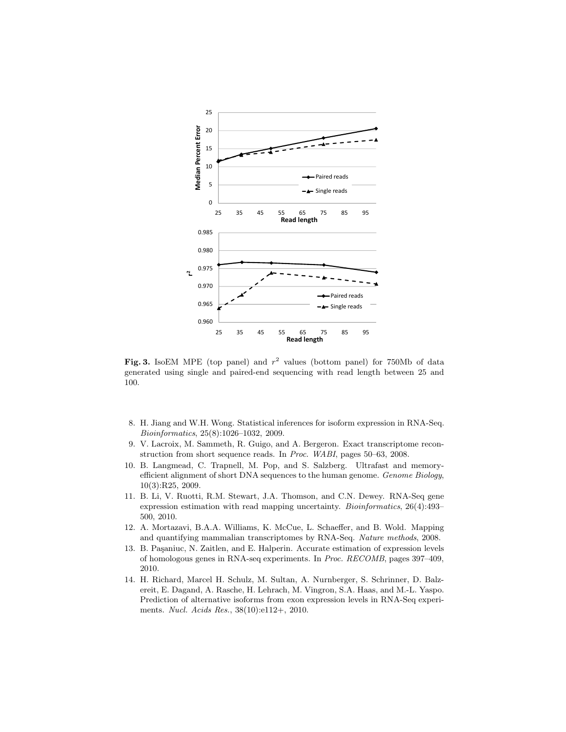

Fig. 3. IsoEM MPE (top panel) and  $r^2$  values (bottom panel) for 750Mb of data generated using single and paired-end sequencing with read length between 25 and 100.

- 8. H. Jiang and W.H. Wong. Statistical inferences for isoform expression in RNA-Seq. Bioinformatics, 25(8):1026–1032, 2009.
- 9. V. Lacroix, M. Sammeth, R. Guigo, and A. Bergeron. Exact transcriptome reconstruction from short sequence reads. In Proc. WABI, pages 50–63, 2008.
- 10. B. Langmead, C. Trapnell, M. Pop, and S. Salzberg. Ultrafast and memoryefficient alignment of short DNA sequences to the human genome. Genome Biology, 10(3):R25, 2009.
- 11. B. Li, V. Ruotti, R.M. Stewart, J.A. Thomson, and C.N. Dewey. RNA-Seq gene expression estimation with read mapping uncertainty. Bioinformatics, 26(4):493– 500, 2010.
- 12. A. Mortazavi, B.A.A. Williams, K. McCue, L. Schaeffer, and B. Wold. Mapping and quantifying mammalian transcriptomes by RNA-Seq. Nature methods, 2008.
- 13. B. Paşaniuc, N. Zaitlen, and E. Halperin. Accurate estimation of expression levels of homologous genes in RNA-seq experiments. In Proc. RECOMB, pages 397–409, 2010.
- 14. H. Richard, Marcel H. Schulz, M. Sultan, A. Nurnberger, S. Schrinner, D. Balzereit, E. Dagand, A. Rasche, H. Lehrach, M. Vingron, S.A. Haas, and M.-L. Yaspo. Prediction of alternative isoforms from exon expression levels in RNA-Seq experiments. Nucl. Acids Res., 38(10):e112+, 2010.